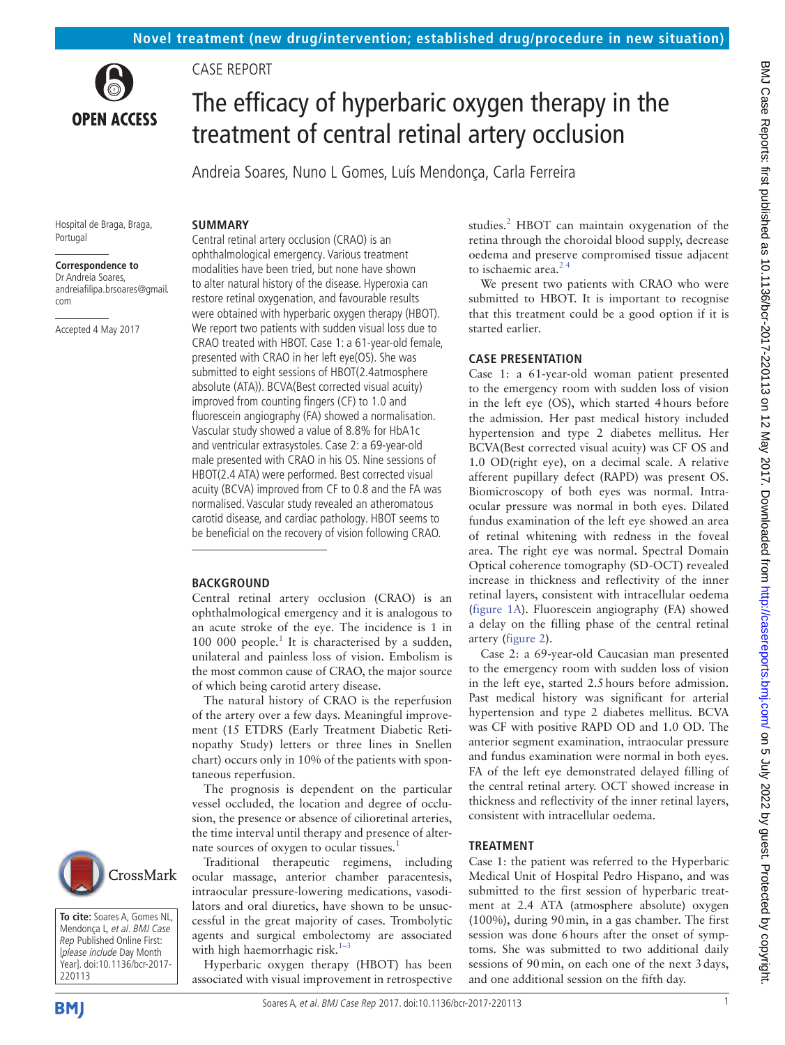

Case report

**SUMMARY**

# The efficacy of hyperbaric oxygen therapy in the treatment of central retinal artery occlusion

Andreia Soares, Nuno L Gomes, Luís Mendonça, Carla Ferreira

#### Hospital de Braga, Braga, Portugal

#### **Correspondence to**

Dr Andreia Soares, andreiafilipa.brsoares@gmail. com

Accepted 4 May 2017

Central retinal artery occlusion (CRAO) is an ophthalmological emergency. Various treatment modalities have been tried, but none have shown to alter natural history of the disease. Hyperoxia can restore retinal oxygenation, and favourable results were obtained with hyperbaric oxygen therapy (HBOT). We report two patients with sudden visual loss due to CRAO treated with HBOT. Case 1: a 61-year-old female, presented with CRAO in her left eye(OS). She was submitted to eight sessions of HBOT(2.4atmosphere absolute (ATA)). BCVA(Best corrected visual acuity) improved from counting fingers (CF) to 1.0 and fluorescein angiography (FA) showed a normalisation. Vascular study showed a value of 8.8% for HbA1c and ventricular extrasystoles. Case 2: a 69-year-old male presented with CRAO in his OS. Nine sessions of HBOT(2.4 ATA) were performed. Best corrected visual acuity (BCVA) improved from CF to 0.8 and the FA was normalised. Vascular study revealed an atheromatous carotid disease, and cardiac pathology. HBOT seems to be beneficial on the recovery of vision following CRAO.

#### **BACKGROUND**

Central retinal artery occlusion (CRAO) is an ophthalmological emergency and it is analogous to an acute stroke of the eye. The incidence is 1 in [1](#page-2-0)00 000 people. $1$  It is characterised by a sudden, unilateral and painless loss of vision. Embolism is the most common cause of CRAO, the major source of which being carotid artery disease.

The natural history of CRAO is the reperfusion of the artery over a few days. Meaningful improvement (15 ETDRS (Early Treatment Diabetic Retinopathy Study) letters or three lines in Snellen chart) occurs only in 10% of the patients with spontaneous reperfusion.

The prognosis is dependent on the particular vessel occluded, the location and degree of occlusion, the presence or absence of cilioretinal arteries, the time interval until therapy and presence of alter-nate sources of oxygen to ocular tissues.<sup>[1](#page-2-0)</sup>

Traditional therapeutic regimens, including ocular massage, anterior chamber paracentesis, intraocular pressure-lowering medications, vasodilators and oral diuretics, have shown to be unsuccessful in the great majority of cases. Trombolytic agents and surgical embolectomy are associated with high haemorrhagic risk. $1-3$ 

Hyperbaric oxygen therapy (HBOT) has been associated with visual improvement in retrospective

studies.<sup>2</sup> HBOT can maintain oxygenation of the retina through the choroidal blood supply, decrease oedema and preserve compromised tissue adjacent to ischaemic area. $24$ 

We present two patients with CRAO who were submitted to HBOT. It is important to recognise that this treatment could be a good option if it is started earlier.

#### **Case presentation**

Case 1: a 61-year-old woman patient presented to the emergency room with sudden loss of vision in the left eye (OS), which started 4hours before the admission. Her past medical history included hypertension and type 2 diabetes mellitus. Her BCVA(Best corrected visual acuity) was CF OS and 1.0 OD(right eye), on a decimal scale. A relative afferent pupillary defect (RAPD) was present OS. Biomicroscopy of both eyes was normal. Intraocular pressure was normal in both eyes. Dilated fundus examination of the left eye showed an area of retinal whitening with redness in the foveal area. The right eye was normal. Spectral Domain Optical coherence tomography (SD-OCT) revealed increase in thickness and reflectivity of the inner retinal layers, consistent with intracellular oedema ([figure](#page-1-0) 1A). Fluorescein angiography (FA) showed a delay on the filling phase of the central retinal artery ([figure](#page-1-1) 2).

Case 2: a 69-year-old Caucasian man presented to the emergency room with sudden loss of vision in the left eye, started 2.5hours before admission. Past medical history was significant for arterial hypertension and type 2 diabetes mellitus. BCVA was CF with positive RAPD OD and 1.0 OD. The anterior segment examination, intraocular pressure and fundus examination were normal in both eyes. FA of the left eye demonstrated delayed filling of the central retinal artery. OCT showed increase in thickness and reflectivity of the inner retinal layers, consistent with intracellular oedema.

#### **Treatment**

Case 1: the patient was referred to the Hyperbaric Medical Unit of Hospital Pedro Hispano, and was submitted to the first session of hyperbaric treatment at 2.4 ATA (atmosphere absolute) oxygen (100%), during 90min, in a gas chamber. The first session was done 6hours after the onset of symptoms. She was submitted to two additional daily sessions of 90min, on each one of the next 3days, and one additional session on the fifth day.



**To cite:** Soares A, Gomes NL, Mendonça L, et al. BMJ Case Rep Published Online First: [please include Day Month Year]. doi:10.1136/bcr-2017- 220113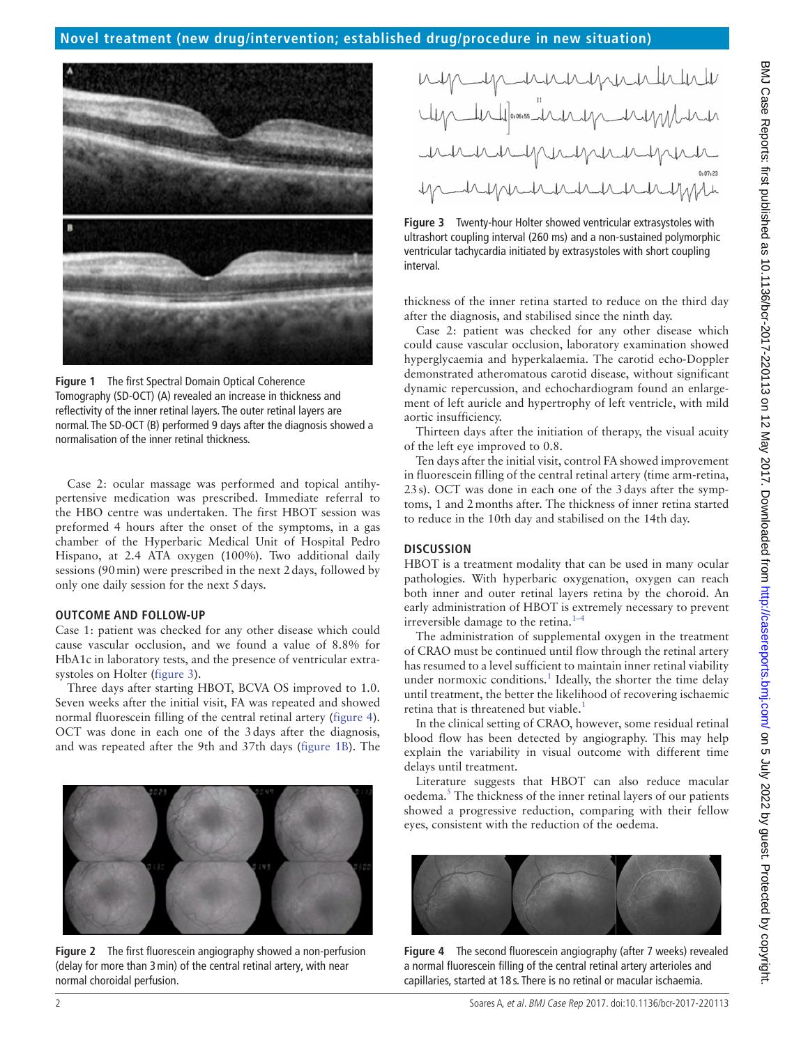

**Figure 1** The first Spectral Domain Optical Coherence Tomography (SD-OCT) (A) revealed an increase in thickness and reflectivity of the inner retinal layers. The outer retinal layers are normal. The SD-OCT (B) performed 9 days after the diagnosis showed a normalisation of the inner retinal thickness.

<span id="page-1-0"></span>Case 2: ocular massage was performed and topical antihypertensive medication was prescribed. Immediate referral to the HBO centre was undertaken. The first HBOT session was preformed 4 hours after the onset of the symptoms, in a gas chamber of the Hyperbaric Medical Unit of Hospital Pedro Hispano, at 2.4 ATA oxygen (100%). Two additional daily sessions (90min) were prescribed in the next 2days, followed by only one daily session for the next 5days.

#### **Outcome and follow-up**

Case 1: patient was checked for any other disease which could cause vascular occlusion, and we found a value of 8.8% for HbA1c in laboratory tests, and the presence of ventricular extrasystoles on Holter [\(figure](#page-1-2) 3).

Three days after starting HBOT, BCVA OS improved to 1.0. Seven weeks after the initial visit, FA was repeated and showed normal fluorescein filling of the central retinal artery ([figure](#page-1-3) 4). OCT was done in each one of the 3days after the diagnosis, and was repeated after the 9th and 37th days [\(figure](#page-1-0) 1B). The



<span id="page-1-1"></span>**Figure 2** The first fluorescein angiography showed a non-perfusion (delay for more than 3min) of the central retinal artery, with near normal choroidal perfusion.

<span id="page-1-2"></span>**Figure 3** Twenty-hour Holter showed ventricular extrasystoles with ultrashort coupling interval (260 ms) and a non-sustained polymorphic ventricular tachycardia initiated by extrasystoles with short coupling interval.

thickness of the inner retina started to reduce on the third day after the diagnosis, and stabilised since the ninth day.

Case 2: patient was checked for any other disease which could cause vascular occlusion, laboratory examination showed hyperglycaemia and hyperkalaemia. The carotid echo-Doppler demonstrated atheromatous carotid disease, without significant dynamic repercussion, and echochardiogram found an enlargement of left auricle and hypertrophy of left ventricle, with mild aortic insufficiency.

Thirteen days after the initiation of therapy, the visual acuity of the left eye improved to 0.8.

Ten days after the initial visit, control FA showed improvement in fluorescein filling of the central retinal artery (time arm-retina, 23s). OCT was done in each one of the 3days after the symptoms, 1 and 2months after. The thickness of inner retina started to reduce in the 10th day and stabilised on the 14th day.

### **Discussion**

HBOT is a treatment modality that can be used in many ocular pathologies. With hyperbaric oxygenation, oxygen can reach both inner and outer retinal layers retina by the choroid. An early administration of HBOT is extremely necessary to prevent irreversible damage to the retina.<sup>1–4</sup>

The administration of supplemental oxygen in the treatment of CRAO must be continued until flow through the retinal artery has resumed to a level sufficient to maintain inner retinal viability under normoxic conditions.<sup>[1](#page-2-0)</sup> Ideally, the shorter the time delay until treatment, the better the likelihood of recovering ischaemic retina that is threatened but viable.<sup>1</sup>

In the clinical setting of CRAO, however, some residual retinal blood flow has been detected by angiography. This may help explain the variability in visual outcome with different time delays until treatment.

Literature suggests that HBOT can also reduce macular oedema.<sup>5</sup> The thickness of the inner retinal layers of our patients showed a progressive reduction, comparing with their fellow eyes, consistent with the reduction of the oedema.

<span id="page-1-3"></span>

**Figure 4** The second fluorescein angiography (after 7 weeks) revealed a normal fluorescein filling of the central retinal artery arterioles and capillaries, started at 18 s. There is no retinal or macular ischaemia.